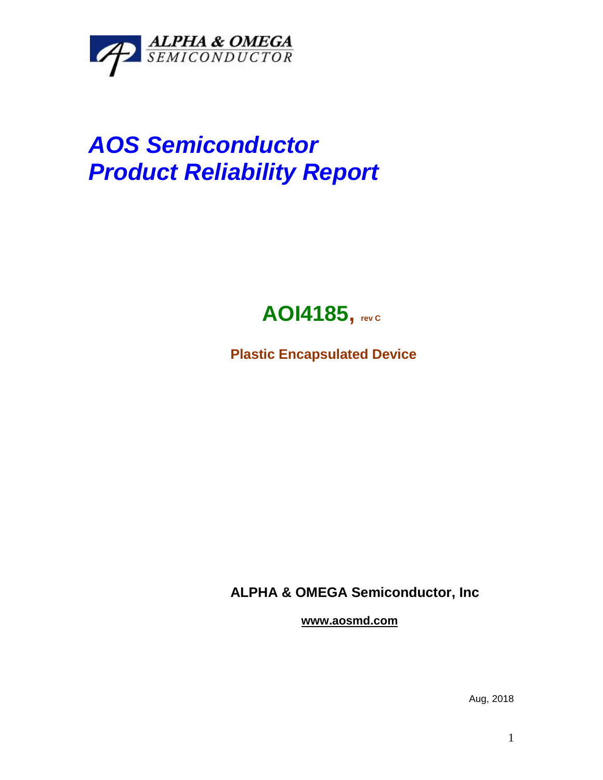

## *AOS Semiconductor Product Reliability Report*



**Plastic Encapsulated Device**

**ALPHA & OMEGA Semiconductor, Inc**

**www.aosmd.com**

Aug, 2018